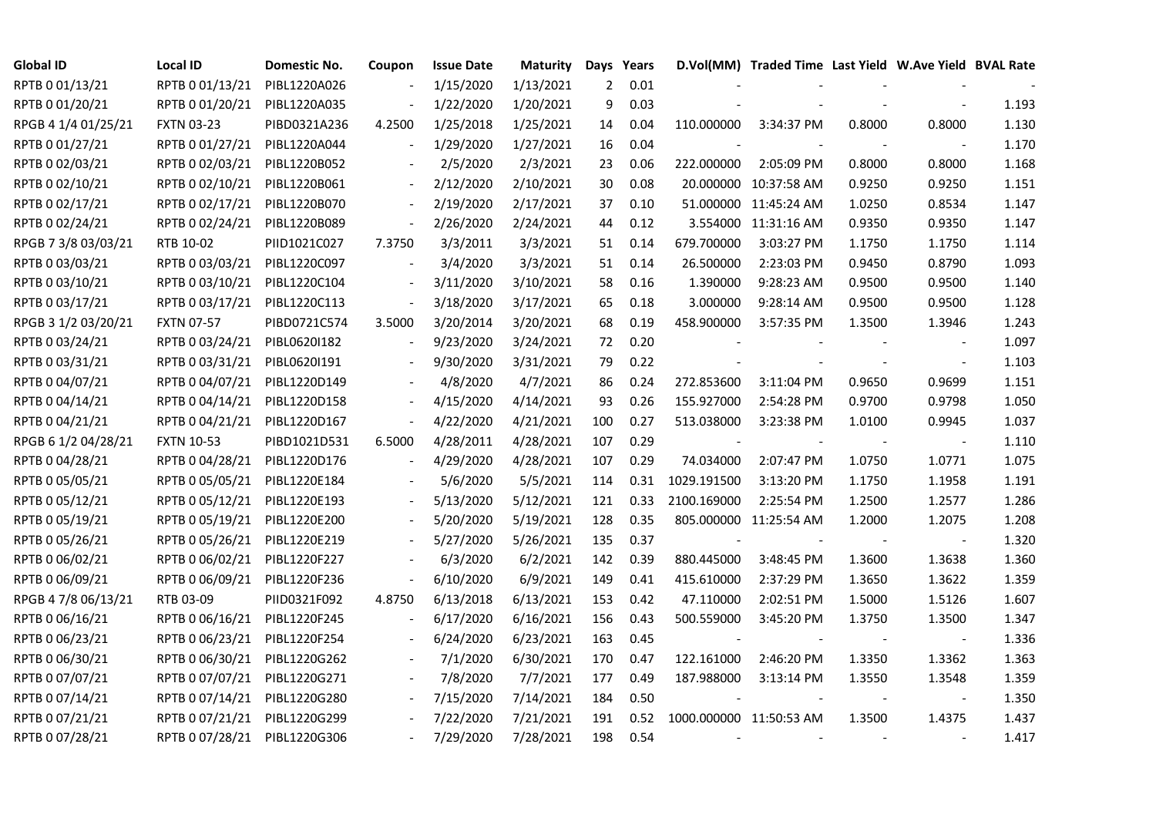| <b>Global ID</b>    | <b>Local ID</b>   | Domestic No. | Coupon                   | <b>Issue Date</b> | <b>Maturity</b> |     | Days Years |             | D.Vol(MM) Traded Time Last Yield W.Ave Yield BVAL Rate |        |                          |       |
|---------------------|-------------------|--------------|--------------------------|-------------------|-----------------|-----|------------|-------------|--------------------------------------------------------|--------|--------------------------|-------|
| RPTB 0 01/13/21     | RPTB 0 01/13/21   | PIBL1220A026 |                          | 1/15/2020         | 1/13/2021       | 2   | 0.01       |             |                                                        |        |                          |       |
| RPTB 0 01/20/21     | RPTB 0 01/20/21   | PIBL1220A035 |                          | 1/22/2020         | 1/20/2021       | 9   | 0.03       |             |                                                        |        |                          | 1.193 |
| RPGB 4 1/4 01/25/21 | <b>FXTN 03-23</b> | PIBD0321A236 | 4.2500                   | 1/25/2018         | 1/25/2021       | 14  | 0.04       | 110.000000  | 3:34:37 PM                                             | 0.8000 | 0.8000                   | 1.130 |
| RPTB 0 01/27/21     | RPTB 0 01/27/21   | PIBL1220A044 | $\blacksquare$           | 1/29/2020         | 1/27/2021       | 16  | 0.04       |             |                                                        |        |                          | 1.170 |
| RPTB 0 02/03/21     | RPTB 0 02/03/21   | PIBL1220B052 |                          | 2/5/2020          | 2/3/2021        | 23  | 0.06       | 222.000000  | 2:05:09 PM                                             | 0.8000 | 0.8000                   | 1.168 |
| RPTB 0 02/10/21     | RPTB 0 02/10/21   | PIBL1220B061 |                          | 2/12/2020         | 2/10/2021       | 30  | 0.08       |             | 20.000000 10:37:58 AM                                  | 0.9250 | 0.9250                   | 1.151 |
| RPTB 0 02/17/21     | RPTB 0 02/17/21   | PIBL1220B070 |                          | 2/19/2020         | 2/17/2021       | 37  | 0.10       |             | 51.000000 11:45:24 AM                                  | 1.0250 | 0.8534                   | 1.147 |
| RPTB 0 02/24/21     | RPTB 0 02/24/21   | PIBL1220B089 | $\blacksquare$           | 2/26/2020         | 2/24/2021       | 44  | 0.12       |             | 3.554000 11:31:16 AM                                   | 0.9350 | 0.9350                   | 1.147 |
| RPGB 7 3/8 03/03/21 | RTB 10-02         | PIID1021C027 | 7.3750                   | 3/3/2011          | 3/3/2021        | 51  | 0.14       | 679.700000  | 3:03:27 PM                                             | 1.1750 | 1.1750                   | 1.114 |
| RPTB 0 03/03/21     | RPTB 0 03/03/21   | PIBL1220C097 |                          | 3/4/2020          | 3/3/2021        | 51  | 0.14       | 26.500000   | 2:23:03 PM                                             | 0.9450 | 0.8790                   | 1.093 |
| RPTB 0 03/10/21     | RPTB 0 03/10/21   | PIBL1220C104 | $\overline{\phantom{a}}$ | 3/11/2020         | 3/10/2021       | 58  | 0.16       | 1.390000    | 9:28:23 AM                                             | 0.9500 | 0.9500                   | 1.140 |
| RPTB 0 03/17/21     | RPTB 0 03/17/21   | PIBL1220C113 | $\Box$                   | 3/18/2020         | 3/17/2021       | 65  | 0.18       | 3.000000    | 9:28:14 AM                                             | 0.9500 | 0.9500                   | 1.128 |
| RPGB 3 1/2 03/20/21 | <b>FXTN 07-57</b> | PIBD0721C574 | 3.5000                   | 3/20/2014         | 3/20/2021       | 68  | 0.19       | 458.900000  | 3:57:35 PM                                             | 1.3500 | 1.3946                   | 1.243 |
| RPTB 0 03/24/21     | RPTB 0 03/24/21   | PIBL06201182 |                          | 9/23/2020         | 3/24/2021       | 72  | 0.20       |             |                                                        |        | $\overline{\phantom{a}}$ | 1.097 |
| RPTB 0 03/31/21     | RPTB 0 03/31/21   | PIBL0620I191 |                          | 9/30/2020         | 3/31/2021       | 79  | 0.22       |             |                                                        |        | $\blacksquare$           | 1.103 |
| RPTB 0 04/07/21     | RPTB 0 04/07/21   | PIBL1220D149 |                          | 4/8/2020          | 4/7/2021        | 86  | 0.24       | 272.853600  | 3:11:04 PM                                             | 0.9650 | 0.9699                   | 1.151 |
| RPTB 0 04/14/21     | RPTB 0 04/14/21   | PIBL1220D158 | $\overline{\phantom{a}}$ | 4/15/2020         | 4/14/2021       | 93  | 0.26       | 155.927000  | 2:54:28 PM                                             | 0.9700 | 0.9798                   | 1.050 |
| RPTB 0 04/21/21     | RPTB 0 04/21/21   | PIBL1220D167 | $\overline{\phantom{a}}$ | 4/22/2020         | 4/21/2021       | 100 | 0.27       | 513.038000  | 3:23:38 PM                                             | 1.0100 | 0.9945                   | 1.037 |
| RPGB 6 1/2 04/28/21 | <b>FXTN 10-53</b> | PIBD1021D531 | 6.5000                   | 4/28/2011         | 4/28/2021       | 107 | 0.29       |             |                                                        |        | $\overline{\phantom{a}}$ | 1.110 |
| RPTB 0 04/28/21     | RPTB 0 04/28/21   | PIBL1220D176 |                          | 4/29/2020         | 4/28/2021       | 107 | 0.29       | 74.034000   | 2:07:47 PM                                             | 1.0750 | 1.0771                   | 1.075 |
| RPTB 0 05/05/21     | RPTB 0 05/05/21   | PIBL1220E184 |                          | 5/6/2020          | 5/5/2021        | 114 | 0.31       | 1029.191500 | 3:13:20 PM                                             | 1.1750 | 1.1958                   | 1.191 |
| RPTB 0 05/12/21     | RPTB 0 05/12/21   | PIBL1220E193 |                          | 5/13/2020         | 5/12/2021       | 121 | 0.33       | 2100.169000 | 2:25:54 PM                                             | 1.2500 | 1.2577                   | 1.286 |
| RPTB 0 05/19/21     | RPTB 0 05/19/21   | PIBL1220E200 |                          | 5/20/2020         | 5/19/2021       | 128 | 0.35       |             | 805.000000 11:25:54 AM                                 | 1.2000 | 1.2075                   | 1.208 |
| RPTB 0 05/26/21     | RPTB 0 05/26/21   | PIBL1220E219 |                          | 5/27/2020         | 5/26/2021       | 135 | 0.37       |             |                                                        |        |                          | 1.320 |
| RPTB 0 06/02/21     | RPTB 0 06/02/21   | PIBL1220F227 | $\overline{\phantom{a}}$ | 6/3/2020          | 6/2/2021        | 142 | 0.39       | 880.445000  | 3:48:45 PM                                             | 1.3600 | 1.3638                   | 1.360 |
| RPTB 0 06/09/21     | RPTB 0 06/09/21   | PIBL1220F236 | $\blacksquare$           | 6/10/2020         | 6/9/2021        | 149 | 0.41       | 415.610000  | 2:37:29 PM                                             | 1.3650 | 1.3622                   | 1.359 |
| RPGB 4 7/8 06/13/21 | RTB 03-09         | PIID0321F092 | 4.8750                   | 6/13/2018         | 6/13/2021       | 153 | 0.42       | 47.110000   | 2:02:51 PM                                             | 1.5000 | 1.5126                   | 1.607 |
| RPTB 0 06/16/21     | RPTB 0 06/16/21   | PIBL1220F245 |                          | 6/17/2020         | 6/16/2021       | 156 | 0.43       | 500.559000  | 3:45:20 PM                                             | 1.3750 | 1.3500                   | 1.347 |
| RPTB 0 06/23/21     | RPTB 0 06/23/21   | PIBL1220F254 |                          | 6/24/2020         | 6/23/2021       | 163 | 0.45       |             |                                                        |        | $\overline{\phantom{a}}$ | 1.336 |
| RPTB 0 06/30/21     | RPTB 0 06/30/21   | PIBL1220G262 |                          | 7/1/2020          | 6/30/2021       | 170 | 0.47       | 122.161000  | 2:46:20 PM                                             | 1.3350 | 1.3362                   | 1.363 |
| RPTB 0 07/07/21     | RPTB 0 07/07/21   | PIBL1220G271 |                          | 7/8/2020          | 7/7/2021        | 177 | 0.49       | 187.988000  | 3:13:14 PM                                             | 1.3550 | 1.3548                   | 1.359 |
| RPTB 0 07/14/21     | RPTB 0 07/14/21   | PIBL1220G280 | $\blacksquare$           | 7/15/2020         | 7/14/2021       | 184 | 0.50       |             |                                                        |        | $\overline{\phantom{a}}$ | 1.350 |
| RPTB 0 07/21/21     | RPTB 0 07/21/21   | PIBL1220G299 |                          | 7/22/2020         | 7/21/2021       | 191 | 0.52       |             | 1000.000000 11:50:53 AM                                | 1.3500 | 1.4375                   | 1.437 |
| RPTB 0 07/28/21     | RPTB 0 07/28/21   | PIBL1220G306 |                          | 7/29/2020         | 7/28/2021       | 198 | 0.54       |             |                                                        |        |                          | 1.417 |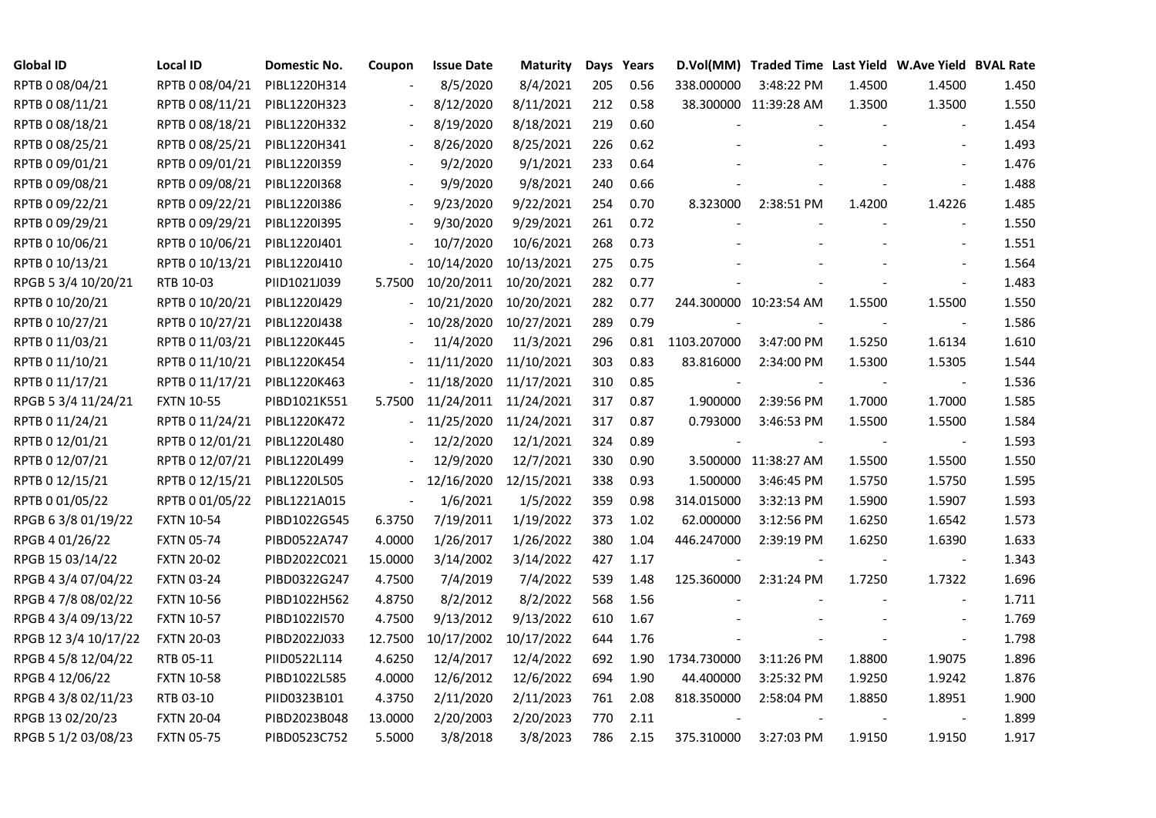| <b>Global ID</b>     | <b>Local ID</b>   | Domestic No. | Coupon                   | <b>Issue Date</b>     | <b>Maturity</b> |     | Days Years |             | D.Vol(MM) Traded Time Last Yield W.Ave Yield BVAL Rate |        |                          |       |
|----------------------|-------------------|--------------|--------------------------|-----------------------|-----------------|-----|------------|-------------|--------------------------------------------------------|--------|--------------------------|-------|
| RPTB 0 08/04/21      | RPTB 0 08/04/21   | PIBL1220H314 |                          | 8/5/2020              | 8/4/2021        | 205 | 0.56       | 338.000000  | 3:48:22 PM                                             | 1.4500 | 1.4500                   | 1.450 |
| RPTB 0 08/11/21      | RPTB 0 08/11/21   | PIBL1220H323 |                          | 8/12/2020             | 8/11/2021       | 212 | 0.58       |             | 38.300000 11:39:28 AM                                  | 1.3500 | 1.3500                   | 1.550 |
| RPTB 0 08/18/21      | RPTB 0 08/18/21   | PIBL1220H332 |                          | 8/19/2020             | 8/18/2021       | 219 | 0.60       |             |                                                        |        |                          | 1.454 |
| RPTB 0 08/25/21      | RPTB 0 08/25/21   | PIBL1220H341 | $\overline{\phantom{a}}$ | 8/26/2020             | 8/25/2021       | 226 | 0.62       |             |                                                        |        |                          | 1.493 |
| RPTB 0 09/01/21      | RPTB 0 09/01/21   | PIBL1220I359 |                          | 9/2/2020              | 9/1/2021        | 233 | 0.64       |             |                                                        |        |                          | 1.476 |
| RPTB 0 09/08/21      | RPTB 0 09/08/21   | PIBL1220I368 |                          | 9/9/2020              | 9/8/2021        | 240 | 0.66       |             |                                                        |        |                          | 1.488 |
| RPTB 0 09/22/21      | RPTB 0 09/22/21   | PIBL1220I386 |                          | 9/23/2020             | 9/22/2021       | 254 | 0.70       | 8.323000    | 2:38:51 PM                                             | 1.4200 | 1.4226                   | 1.485 |
| RPTB 0 09/29/21      | RPTB 0 09/29/21   | PIBL1220I395 |                          | 9/30/2020             | 9/29/2021       | 261 | 0.72       |             |                                                        |        |                          | 1.550 |
| RPTB 0 10/06/21      | RPTB 0 10/06/21   | PIBL1220J401 |                          | 10/7/2020             | 10/6/2021       | 268 | 0.73       |             |                                                        |        |                          | 1.551 |
| RPTB 0 10/13/21      | RPTB 0 10/13/21   | PIBL1220J410 |                          | 10/14/2020            | 10/13/2021      | 275 | 0.75       |             |                                                        |        |                          | 1.564 |
| RPGB 5 3/4 10/20/21  | RTB 10-03         | PIID1021J039 | 5.7500                   | 10/20/2011            | 10/20/2021      | 282 | 0.77       |             |                                                        |        | $\frac{1}{2}$            | 1.483 |
| RPTB 0 10/20/21      | RPTB 0 10/20/21   | PIBL1220J429 |                          | 10/21/2020            | 10/20/2021      | 282 | 0.77       |             | 244.300000 10:23:54 AM                                 | 1.5500 | 1.5500                   | 1.550 |
| RPTB 0 10/27/21      | RPTB 0 10/27/21   | PIBL1220J438 |                          | 10/28/2020            | 10/27/2021      | 289 | 0.79       |             |                                                        |        | $\sim$                   | 1.586 |
| RPTB 0 11/03/21      | RPTB 0 11/03/21   | PIBL1220K445 |                          | 11/4/2020             | 11/3/2021       | 296 | 0.81       | 1103.207000 | 3:47:00 PM                                             | 1.5250 | 1.6134                   | 1.610 |
| RPTB 0 11/10/21      | RPTB 0 11/10/21   | PIBL1220K454 |                          | 11/11/2020            | 11/10/2021      | 303 | 0.83       | 83.816000   | 2:34:00 PM                                             | 1.5300 | 1.5305                   | 1.544 |
| RPTB 0 11/17/21      | RPTB 0 11/17/21   | PIBL1220K463 |                          | 11/18/2020            | 11/17/2021      | 310 | 0.85       |             |                                                        |        | $\overline{\phantom{a}}$ | 1.536 |
| RPGB 5 3/4 11/24/21  | <b>FXTN 10-55</b> | PIBD1021K551 | 5.7500                   | 11/24/2011 11/24/2021 |                 | 317 | 0.87       | 1.900000    | 2:39:56 PM                                             | 1.7000 | 1.7000                   | 1.585 |
| RPTB 0 11/24/21      | RPTB 0 11/24/21   | PIBL1220K472 | $\blacksquare$           | 11/25/2020            | 11/24/2021      | 317 | 0.87       | 0.793000    | 3:46:53 PM                                             | 1.5500 | 1.5500                   | 1.584 |
| RPTB 0 12/01/21      | RPTB 0 12/01/21   | PIBL1220L480 |                          | 12/2/2020             | 12/1/2021       | 324 | 0.89       |             |                                                        |        |                          | 1.593 |
| RPTB 0 12/07/21      | RPTB 0 12/07/21   | PIBL1220L499 |                          | 12/9/2020             | 12/7/2021       | 330 | 0.90       |             | 3.500000 11:38:27 AM                                   | 1.5500 | 1.5500                   | 1.550 |
| RPTB 0 12/15/21      | RPTB 0 12/15/21   | PIBL1220L505 |                          | 12/16/2020            | 12/15/2021      | 338 | 0.93       | 1.500000    | 3:46:45 PM                                             | 1.5750 | 1.5750                   | 1.595 |
| RPTB 0 01/05/22      | RPTB 0 01/05/22   | PIBL1221A015 | $\Box$                   | 1/6/2021              | 1/5/2022        | 359 | 0.98       | 314.015000  | 3:32:13 PM                                             | 1.5900 | 1.5907                   | 1.593 |
| RPGB 63/8 01/19/22   | <b>FXTN 10-54</b> | PIBD1022G545 | 6.3750                   | 7/19/2011             | 1/19/2022       | 373 | 1.02       | 62.000000   | 3:12:56 PM                                             | 1.6250 | 1.6542                   | 1.573 |
| RPGB 4 01/26/22      | <b>FXTN 05-74</b> | PIBD0522A747 | 4.0000                   | 1/26/2017             | 1/26/2022       | 380 | 1.04       | 446.247000  | 2:39:19 PM                                             | 1.6250 | 1.6390                   | 1.633 |
| RPGB 15 03/14/22     | <b>FXTN 20-02</b> | PIBD2022C021 | 15.0000                  | 3/14/2002             | 3/14/2022       | 427 | 1.17       |             |                                                        |        | $\blacksquare$           | 1.343 |
| RPGB 4 3/4 07/04/22  | <b>FXTN 03-24</b> | PIBD0322G247 | 4.7500                   | 7/4/2019              | 7/4/2022        | 539 | 1.48       | 125.360000  | 2:31:24 PM                                             | 1.7250 | 1.7322                   | 1.696 |
| RPGB 4 7/8 08/02/22  | <b>FXTN 10-56</b> | PIBD1022H562 | 4.8750                   | 8/2/2012              | 8/2/2022        | 568 | 1.56       |             |                                                        |        | $\blacksquare$           | 1.711 |
| RPGB 4 3/4 09/13/22  | <b>FXTN 10-57</b> | PIBD1022I570 | 4.7500                   | 9/13/2012             | 9/13/2022       | 610 | 1.67       |             |                                                        |        | $\overline{\phantom{a}}$ | 1.769 |
| RPGB 12 3/4 10/17/22 | <b>FXTN 20-03</b> | PIBD2022J033 | 12.7500                  | 10/17/2002            | 10/17/2022      | 644 | 1.76       |             |                                                        |        | $\blacksquare$           | 1.798 |
| RPGB 4 5/8 12/04/22  | RTB 05-11         | PIID0522L114 | 4.6250                   | 12/4/2017             | 12/4/2022       | 692 | 1.90       | 1734.730000 | 3:11:26 PM                                             | 1.8800 | 1.9075                   | 1.896 |
| RPGB 4 12/06/22      | <b>FXTN 10-58</b> | PIBD1022L585 | 4.0000                   | 12/6/2012             | 12/6/2022       | 694 | 1.90       | 44.400000   | 3:25:32 PM                                             | 1.9250 | 1.9242                   | 1.876 |
| RPGB 4 3/8 02/11/23  | RTB 03-10         | PIID0323B101 | 4.3750                   | 2/11/2020             | 2/11/2023       | 761 | 2.08       | 818.350000  | 2:58:04 PM                                             | 1.8850 | 1.8951                   | 1.900 |
| RPGB 13 02/20/23     | <b>FXTN 20-04</b> | PIBD2023B048 | 13.0000                  | 2/20/2003             | 2/20/2023       | 770 | 2.11       |             |                                                        |        |                          | 1.899 |
| RPGB 5 1/2 03/08/23  | <b>FXTN 05-75</b> | PIBD0523C752 | 5.5000                   | 3/8/2018              | 3/8/2023        | 786 | 2.15       | 375.310000  | 3:27:03 PM                                             | 1.9150 | 1.9150                   | 1.917 |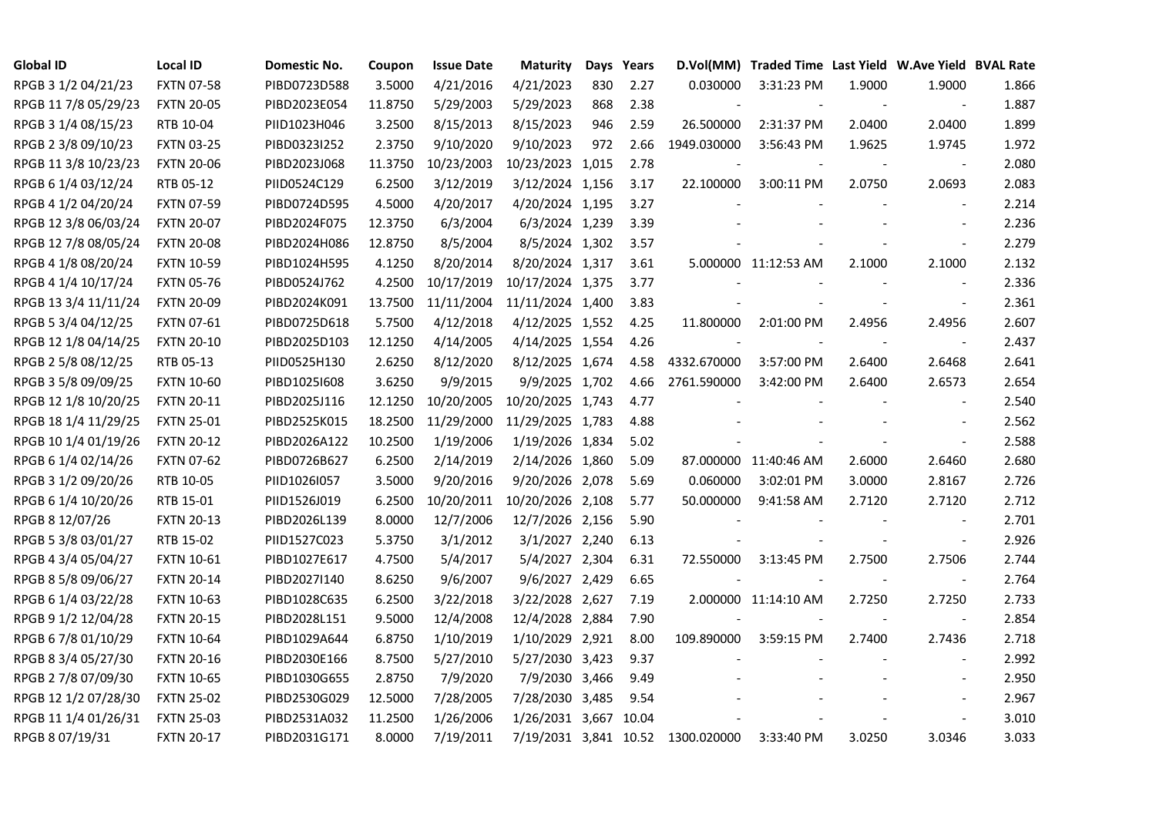| <b>Global ID</b>     | <b>Local ID</b>   | Domestic No. | Coupon  | <b>Issue Date</b> | <b>Maturity</b>  | Days | Years |                                   | D.Vol(MM) Traded Time Last Yield W.Ave Yield BVAL Rate |        |                          |       |
|----------------------|-------------------|--------------|---------|-------------------|------------------|------|-------|-----------------------------------|--------------------------------------------------------|--------|--------------------------|-------|
| RPGB 3 1/2 04/21/23  | <b>FXTN 07-58</b> | PIBD0723D588 | 3.5000  | 4/21/2016         | 4/21/2023        | 830  | 2.27  | 0.030000                          | 3:31:23 PM                                             | 1.9000 | 1.9000                   | 1.866 |
| RPGB 11 7/8 05/29/23 | <b>FXTN 20-05</b> | PIBD2023E054 | 11.8750 | 5/29/2003         | 5/29/2023        | 868  | 2.38  |                                   |                                                        |        | $\overline{\phantom{a}}$ | 1.887 |
| RPGB 3 1/4 08/15/23  | RTB 10-04         | PIID1023H046 | 3.2500  | 8/15/2013         | 8/15/2023        | 946  | 2.59  | 26.500000                         | 2:31:37 PM                                             | 2.0400 | 2.0400                   | 1.899 |
| RPGB 2 3/8 09/10/23  | <b>FXTN 03-25</b> | PIBD0323I252 | 2.3750  | 9/10/2020         | 9/10/2023        | 972  | 2.66  | 1949.030000                       | 3:56:43 PM                                             | 1.9625 | 1.9745                   | 1.972 |
| RPGB 11 3/8 10/23/23 | <b>FXTN 20-06</b> | PIBD2023J068 | 11.3750 | 10/23/2003        | 10/23/2023 1,015 |      | 2.78  |                                   |                                                        |        |                          | 2.080 |
| RPGB 6 1/4 03/12/24  | RTB 05-12         | PIID0524C129 | 6.2500  | 3/12/2019         | 3/12/2024 1,156  |      | 3.17  | 22.100000                         | 3:00:11 PM                                             | 2.0750 | 2.0693                   | 2.083 |
| RPGB 4 1/2 04/20/24  | <b>FXTN 07-59</b> | PIBD0724D595 | 4.5000  | 4/20/2017         | 4/20/2024 1,195  |      | 3.27  |                                   |                                                        |        |                          | 2.214 |
| RPGB 12 3/8 06/03/24 | <b>FXTN 20-07</b> | PIBD2024F075 | 12.3750 | 6/3/2004          | 6/3/2024 1,239   |      | 3.39  |                                   |                                                        |        |                          | 2.236 |
| RPGB 12 7/8 08/05/24 | <b>FXTN 20-08</b> | PIBD2024H086 | 12.8750 | 8/5/2004          | 8/5/2024 1,302   |      | 3.57  |                                   |                                                        |        |                          | 2.279 |
| RPGB 4 1/8 08/20/24  | <b>FXTN 10-59</b> | PIBD1024H595 | 4.1250  | 8/20/2014         | 8/20/2024 1,317  |      | 3.61  |                                   | 5.000000 11:12:53 AM                                   | 2.1000 | 2.1000                   | 2.132 |
| RPGB 4 1/4 10/17/24  | <b>FXTN 05-76</b> | PIBD0524J762 | 4.2500  | 10/17/2019        | 10/17/2024 1,375 |      | 3.77  |                                   |                                                        |        | $\blacksquare$           | 2.336 |
| RPGB 13 3/4 11/11/24 | <b>FXTN 20-09</b> | PIBD2024K091 | 13.7500 | 11/11/2004        | 11/11/2024 1,400 |      | 3.83  |                                   |                                                        |        | $\blacksquare$           | 2.361 |
| RPGB 5 3/4 04/12/25  | <b>FXTN 07-61</b> | PIBD0725D618 | 5.7500  | 4/12/2018         | 4/12/2025 1,552  |      | 4.25  | 11.800000                         | 2:01:00 PM                                             | 2.4956 | 2.4956                   | 2.607 |
| RPGB 12 1/8 04/14/25 | <b>FXTN 20-10</b> | PIBD2025D103 | 12.1250 | 4/14/2005         | 4/14/2025 1,554  |      | 4.26  | $\blacksquare$                    |                                                        |        | $\blacksquare$           | 2.437 |
| RPGB 2 5/8 08/12/25  | RTB 05-13         | PIID0525H130 | 2.6250  | 8/12/2020         | 8/12/2025 1,674  |      | 4.58  | 4332.670000                       | 3:57:00 PM                                             | 2.6400 | 2.6468                   | 2.641 |
| RPGB 3 5/8 09/09/25  | <b>FXTN 10-60</b> | PIBD10251608 | 3.6250  | 9/9/2015          | 9/9/2025 1,702   |      | 4.66  | 2761.590000                       | 3:42:00 PM                                             | 2.6400 | 2.6573                   | 2.654 |
| RPGB 12 1/8 10/20/25 | <b>FXTN 20-11</b> | PIBD2025J116 | 12.1250 | 10/20/2005        | 10/20/2025 1,743 |      | 4.77  |                                   |                                                        |        |                          | 2.540 |
| RPGB 18 1/4 11/29/25 | <b>FXTN 25-01</b> | PIBD2525K015 | 18.2500 | 11/29/2000        | 11/29/2025 1,783 |      | 4.88  |                                   |                                                        |        |                          | 2.562 |
| RPGB 10 1/4 01/19/26 | <b>FXTN 20-12</b> | PIBD2026A122 | 10.2500 | 1/19/2006         | 1/19/2026 1,834  |      | 5.02  |                                   |                                                        |        | $\blacksquare$           | 2.588 |
| RPGB 6 1/4 02/14/26  | <b>FXTN 07-62</b> | PIBD0726B627 | 6.2500  | 2/14/2019         | 2/14/2026 1,860  |      | 5.09  |                                   | 87.000000 11:40:46 AM                                  | 2.6000 | 2.6460                   | 2.680 |
| RPGB 3 1/2 09/20/26  | RTB 10-05         | PIID1026I057 | 3.5000  | 9/20/2016         | 9/20/2026 2,078  |      | 5.69  | 0.060000                          | 3:02:01 PM                                             | 3.0000 | 2.8167                   | 2.726 |
| RPGB 6 1/4 10/20/26  | RTB 15-01         | PIID1526J019 | 6.2500  | 10/20/2011        | 10/20/2026 2,108 |      | 5.77  | 50.000000                         | 9:41:58 AM                                             | 2.7120 | 2.7120                   | 2.712 |
| RPGB 8 12/07/26      | <b>FXTN 20-13</b> | PIBD2026L139 | 8.0000  | 12/7/2006         | 12/7/2026 2,156  |      | 5.90  |                                   |                                                        |        |                          | 2.701 |
| RPGB 5 3/8 03/01/27  | RTB 15-02         | PIID1527C023 | 5.3750  | 3/1/2012          | 3/1/2027 2,240   |      | 6.13  |                                   |                                                        |        | $\blacksquare$           | 2.926 |
| RPGB 4 3/4 05/04/27  | <b>FXTN 10-61</b> | PIBD1027E617 | 4.7500  | 5/4/2017          | 5/4/2027 2,304   |      | 6.31  | 72.550000                         | 3:13:45 PM                                             | 2.7500 | 2.7506                   | 2.744 |
| RPGB 8 5/8 09/06/27  | <b>FXTN 20-14</b> | PIBD2027I140 | 8.6250  | 9/6/2007          | 9/6/2027 2,429   |      | 6.65  |                                   |                                                        |        | $\blacksquare$           | 2.764 |
| RPGB 6 1/4 03/22/28  | <b>FXTN 10-63</b> | PIBD1028C635 | 6.2500  | 3/22/2018         | 3/22/2028 2,627  |      | 7.19  |                                   | 2.000000 11:14:10 AM                                   | 2.7250 | 2.7250                   | 2.733 |
| RPGB 9 1/2 12/04/28  | <b>FXTN 20-15</b> | PIBD2028L151 | 9.5000  | 12/4/2008         | 12/4/2028 2,884  |      | 7.90  |                                   |                                                        |        | $\blacksquare$           | 2.854 |
| RPGB 67/8 01/10/29   | <b>FXTN 10-64</b> | PIBD1029A644 | 6.8750  | 1/10/2019         | 1/10/2029 2,921  |      | 8.00  | 109.890000                        | 3:59:15 PM                                             | 2.7400 | 2.7436                   | 2.718 |
| RPGB 8 3/4 05/27/30  | <b>FXTN 20-16</b> | PIBD2030E166 | 8.7500  | 5/27/2010         | 5/27/2030 3,423  |      | 9.37  |                                   |                                                        |        |                          | 2.992 |
| RPGB 2 7/8 07/09/30  | <b>FXTN 10-65</b> | PIBD1030G655 | 2.8750  | 7/9/2020          | 7/9/2030 3,466   |      | 9.49  |                                   |                                                        |        |                          | 2.950 |
| RPGB 12 1/2 07/28/30 | <b>FXTN 25-02</b> | PIBD2530G029 | 12.5000 | 7/28/2005         | 7/28/2030 3,485  |      | 9.54  |                                   |                                                        |        |                          | 2.967 |
| RPGB 11 1/4 01/26/31 | <b>FXTN 25-03</b> | PIBD2531A032 | 11.2500 | 1/26/2006         | 1/26/2031 3,667  |      | 10.04 |                                   |                                                        |        | $\blacksquare$           | 3.010 |
| RPGB 8 07/19/31      | <b>FXTN 20-17</b> | PIBD2031G171 | 8.0000  | 7/19/2011         |                  |      |       | 7/19/2031 3,841 10.52 1300.020000 | 3:33:40 PM                                             | 3.0250 | 3.0346                   | 3.033 |